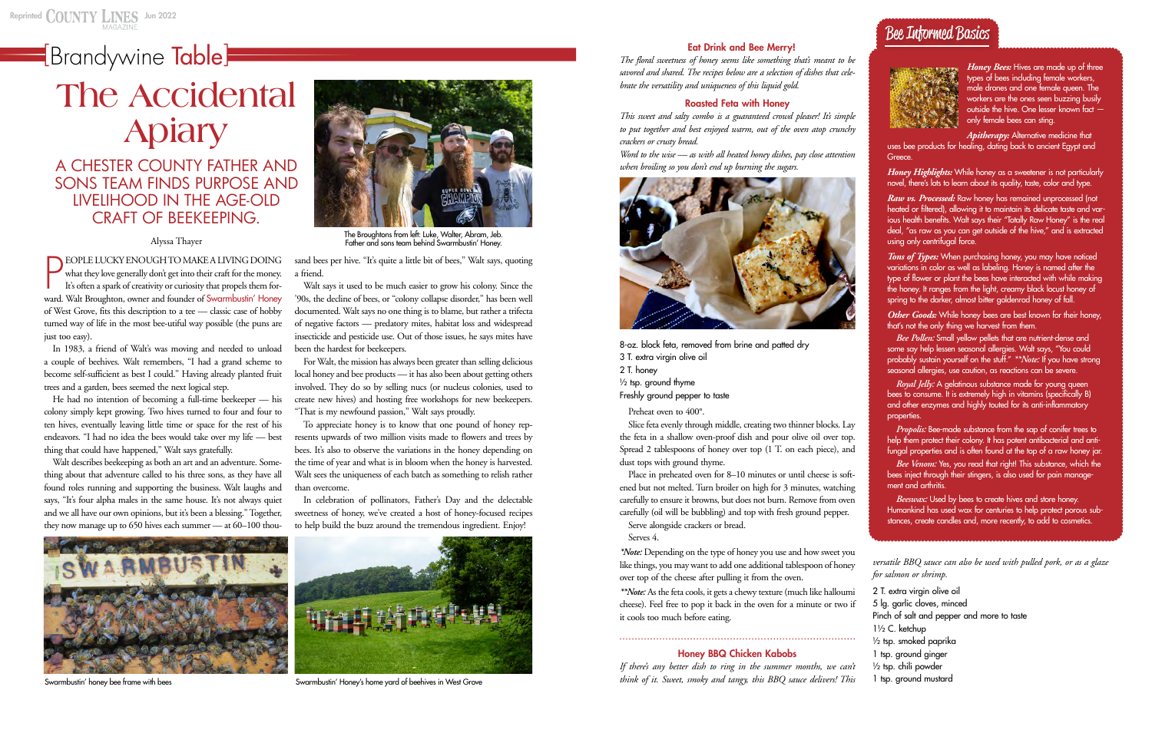## **[Brandywine Table]**

#### Eat Drink and Bee Merry!

*The floral sweetness of honey seems like something that's meant to be savored and shared. The recipes below are a selection of dishes that celebrate the versatility and uniqueness of this liquid gold.* 

#### Roasted Feta with Honey

*This sweet and salty combo is a guaranteed crowd pleaser! It's simple to put together and best enjoyed warm, out of the oven atop crunchy crackers or crusty bread.*

*Word to the wise — as with all heated honey dishes, pay close attention when broiling so you don't end up burning the sugars.*



Place in preheated oven for 8–10 minutes or until cheese is softened but not melted. Turn broiler on high for 3 minutes, watching carefully to ensure it browns, but does not burn. Remove from oven carefully (oil will be bubbling) and top with fresh ground pepper.

8-oz. block feta, removed from brine and patted dry 3 T. extra virgin olive oil 2 T. honey  $\frac{1}{2}$  tsp. ground thyme Freshly ground pepper to taste

Preheat oven to 400°.

Slice feta evenly through middle, creating two thinner blocks. Lay the feta in a shallow oven-proof dish and pour olive oil over top. Spread 2 tablespoons of honey over top (1 T. on each piece), and dust tops with ground thyme.

Serve alongside crackers or bread.

Serves 4.

*\*Note:* Depending on the type of honey you use and how sweet you like things, you may want to add one additional tablespoon of honey over top of the cheese after pulling it from the oven.

*Tons of Types:* When purchasing honey, you may have noticed variations in color as well as labeling. Honey is named after the type of flower or plant the bees have interacted with while making the honey. It ranges from the light, creamy black locust honey of spring to the darker, almost bitter goldenrod honey of fall.

*\*\*Note:* As the feta cools, it gets a chewy texture (much like halloumi cheese). Feel free to pop it back in the oven for a minute or two if it cools too much before eating.

.............................................................................

#### Honey BBQ Chicken Kabobs

*If there's any better dish to ring in the summer months, we can't think of it. Sweet, smoky and tangy, this BBQ sauce delivers! This* 

*versatile BBQ sauce can also be used with pulled pork, or as a glaze for salmon or shrimp.*

*Propolis:* Bee-made substance from the sap of conifer trees to help them protect their colony. It has potent antibacterial and antifungal properties and is often found at the top of a raw honey jar.

2 T. extra virgin olive oil 5 lg. garlic cloves, minced Pinch of salt and pepper and more to taste 1½ C. ketchup ½ tsp. smoked paprika 1 tsp. ground ginger ½ tsp. chili powder 1 tsp. ground mustard

*Honey Bees:* Hives are made up of three types of bees including female workers, male drones and one female queen. The workers are the ones seen buzzing busily outside the hive. One lesser known fact only female bees can sting.

*Apitherapy:* Alternative medicine that uses bee products for healing, dating back to ancient Egypt and Greece.

*Honey Highlights:* While honey as a sweetener is not particularly novel, there's lots to learn about its quality, taste, color and type.

*Raw vs. Processed:* Raw honey has remained unprocessed (not heated or filtered), allowing it to maintain its delicate taste and various health benefits. Walt says their "Totally Raw Honey" is the real deal, "as raw as you can get outside of the hive," and is extracted using only centrifugal force.

sand bees per hive. "It's quite a little bit of bees," Walt says, quoting a friend.

> *Other Goods:* While honey bees are best known for their honey, that's not the only thing we harvest from them.

> *Bee Pollen:* Small yellow pellets that are nutrient-dense and some say help lessen seasonal allergies. Walt says, "You could probably sustain yourself on the stuff." *\*\*Note:* If you have strong seasonal allergies, use caution, as reactions can be severe.

*Royal Jelly:* A gelatinous substance made for young queen bees to consume. It is extremely high in vitamins (specifically B) and other enzymes and highly touted for its anti-inflammatory properties.

*Bee Venom:* Yes, you read that right! This substance, which the bees inject through their stingers, is also used for pain management and arthritis.

*Beeswax:* Used by bees to create hives and store honey. Humankind has used wax for centuries to help protect porous substances, create candles and, more recently, to add to cosmetics.



In 1983, a friend of Walt's was moving and needed to unload a couple of beehives. Walt remembers, "I had a grand scheme to become self-sufficient as best I could." Having already planted fruit trees and a garden, bees seemed the next logical step.

He had no intention of becoming a full-time beekeeper — his colony simply kept growing. Two hives turned to four and four to ten hives, eventually leaving little time or space for the rest of his endeavors. "I had no idea the bees would take over my life — best thing that could have happened," Walt says gratefully.

Walt describes beekeeping as both an art and an adventure. Something about that adventure called to his three sons, as they have all found roles running and supporting the business. Walt laughs and says, "It's four alpha males in the same house. It's not always quiet and we all have our own opinions, but it's been a blessing." Together, they now manage up to 650 hives each summer — at 60–100 thou-



The Broughtons from left: Luke, Walter, Abram, Jeb.<br>Father and sons team behind Swarmbustin' Honey.

Walt says it used to be much easier to grow his colony. Since the '90s, the decline of bees, or "colony collapse disorder," has been well documented. Walt says no one thing is to blame, but rather a trifecta of negative factors — predatory mites, habitat loss and widespread insecticide and pesticide use. Out of those issues, he says mites have been the hardest for beekeepers.

For Walt, the mission has always been greater than selling delicious local honey and bee products — it has also been about getting others involved. They do so by selling nucs (or nucleus colonies, used to create new hives) and hosting free workshops for new beekeepers. "That is my newfound passion," Walt says proudly.

To appreciate honey is to know that one pound of honey represents upwards of two million visits made to flowers and trees by bees. It's also to observe the variations in the honey depending on the time of year and what is in bloom when the honey is harvested. Walt sees the uniqueness of each batch as something to relish rather than overcome.

In celebration of pollinators, Father's Day and the delectable sweetness of honey, we've created a host of honey-focused recipes to help build the buzz around the tremendous ingredient. Enjoy!



Swarmbustin' honey bee frame with bees states and the swarmbustin' Honey's home yard of beehives in West Grove

# **The Accidental Apiary**

### A CHESTER COUNTY FATHER AND SONS TEAM FINDS PURPOSE AND LIVELIHOOD IN THE AGE-OLD CRAFT OF BEEKEEPING.

**PEOPLE LUCKY ENOUGH TO MAKE A LIVING DOING**<br>what they love generally don't get into their craft for the money.<br>It's often a spark of creativity or curiosity that propels them for-<br>ward. Walt Broughton, owner and founder o EOPLE LUCKY ENOUGH TO MAKE A LIVING DOING what they love generally don't get into their craft for the money. It's often a spark of creativity or curiosity that propels them forof West Grove, fits this description to a tee — classic case of hobby turned way of life in the most bee-utiful way possible (the puns are just too easy).